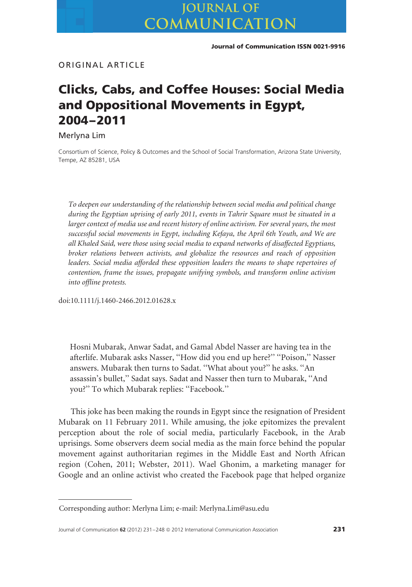## ORIGINAL ARTICLE

# **Clicks, Cabs, and Coffee Houses: Social Media and Oppositional Movements in Egypt, 2004–2011**

Merlyna Lim

Consortium of Science, Policy & Outcomes and the School of Social Transformation, Arizona State University, Tempe, AZ 85281, USA

*To deepen our understanding of the relationship between social media and political change during the Egyptian uprising of early 2011, events in Tahrir Square must be situated in a larger context of media use and recent history of online activism. For several years, the most successful social movements in Egypt, including Kefaya, the April 6th Youth, and We are all Khaled Said, were those using social media to expand networks of disaffected Egyptians, broker relations between activists, and globalize the resources and reach of opposition leaders. Social media afforded these opposition leaders the means to shape repertoires of contention, frame the issues, propagate unifying symbols, and transform online activism into offline protests.*

doi:10.1111/j.1460-2466.2012.01628.x

Hosni Mubarak, Anwar Sadat, and Gamal Abdel Nasser are having tea in the afterlife. Mubarak asks Nasser, ''How did you end up here?'' ''Poison,'' Nasser answers. Mubarak then turns to Sadat. ''What about you?'' he asks. ''An assassin's bullet,'' Sadat says. Sadat and Nasser then turn to Mubarak, ''And you?'' To which Mubarak replies: ''Facebook.''

This joke has been making the rounds in Egypt since the resignation of President Mubarak on 11 February 2011. While amusing, the joke epitomizes the prevalent perception about the role of social media, particularly Facebook, in the Arab uprisings. Some observers deem social media as the main force behind the popular movement against authoritarian regimes in the Middle East and North African region (Cohen, 2011; Webster, 2011). Wael Ghonim, a marketing manager for Google and an online activist who created the Facebook page that helped organize

Corresponding author: Merlyna Lim; e-mail: Merlyna.Lim@asu.edu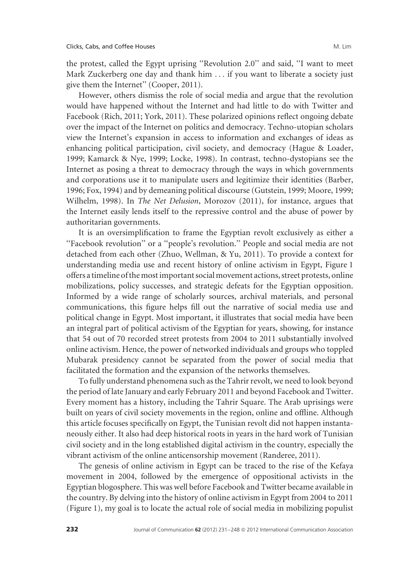the protest, called the Egypt uprising ''Revolution 2.0'' and said, ''I want to meet Mark Zuckerberg one day and thank him *...* if you want to liberate a society just give them the Internet'' (Cooper, 2011).

However, others dismiss the role of social media and argue that the revolution would have happened without the Internet and had little to do with Twitter and Facebook (Rich, 2011; York, 2011). These polarized opinions reflect ongoing debate over the impact of the Internet on politics and democracy. Techno-utopian scholars view the Internet's expansion in access to information and exchanges of ideas as enhancing political participation, civil society, and democracy (Hague & Loader, 1999; Kamarck & Nye, 1999; Locke, 1998). In contrast, techno-dystopians see the Internet as posing a threat to democracy through the ways in which governments and corporations use it to manipulate users and legitimize their identities (Barber, 1996; Fox, 1994) and by demeaning political discourse (Gutstein, 1999; Moore, 1999; Wilhelm, 1998). In *The Net Delusion*, Morozov (2011), for instance, argues that the Internet easily lends itself to the repressive control and the abuse of power by authoritarian governments.

It is an oversimplification to frame the Egyptian revolt exclusively as either a ''Facebook revolution'' or a ''people's revolution.'' People and social media are not detached from each other (Zhuo, Wellman, & Yu, 2011). To provide a context for understanding media use and recent history of online activism in Egypt, Figure 1 offers a timeline of the most important social movement actions, street protests, online mobilizations, policy successes, and strategic defeats for the Egyptian opposition. Informed by a wide range of scholarly sources, archival materials, and personal communications, this figure helps fill out the narrative of social media use and political change in Egypt. Most important, it illustrates that social media have been an integral part of political activism of the Egyptian for years, showing, for instance that 54 out of 70 recorded street protests from 2004 to 2011 substantially involved online activism. Hence, the power of networked individuals and groups who toppled Mubarak presidency cannot be separated from the power of social media that facilitated the formation and the expansion of the networks themselves.

To fully understand phenomena such as the Tahrir revolt, we need to look beyond the period of late January and early February 2011 and beyond Facebook and Twitter. Every moment has a history, including the Tahrir Square. The Arab uprisings were built on years of civil society movements in the region, online and offline. Although this article focuses specifically on Egypt, the Tunisian revolt did not happen instantaneously either. It also had deep historical roots in years in the hard work of Tunisian civil society and in the long established digital activism in the country, especially the vibrant activism of the online anticensorship movement (Randeree, 2011).

The genesis of online activism in Egypt can be traced to the rise of the Kefaya movement in 2004, followed by the emergence of oppositional activists in the Egyptian blogosphere. This was well before Facebook and Twitter became available in the country. By delving into the history of online activism in Egypt from 2004 to 2011 (Figure 1), my goal is to locate the actual role of social media in mobilizing populist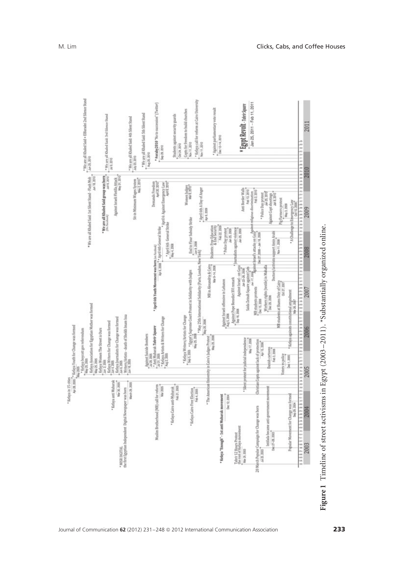

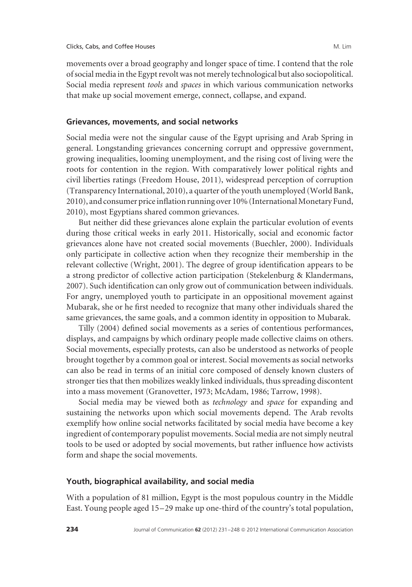movements over a broad geography and longer space of time. I contend that the role of social media in the Egypt revolt was not merely technological but also sociopolitical. Social media represent *tools* and *spaces* in which various communication networks that make up social movement emerge, connect, collapse, and expand.

#### **Grievances, movements, and social networks**

Social media were not the singular cause of the Egypt uprising and Arab Spring in general. Longstanding grievances concerning corrupt and oppressive government, growing inequalities, looming unemployment, and the rising cost of living were the roots for contention in the region. With comparatively lower political rights and civil liberties ratings (Freedom House, 2011), widespread perception of corruption (Transparency International, 2010), a quarter of the youth unemployed (World Bank, 2010), and consumer price inflation running over 10% (International Monetary Fund, 2010), most Egyptians shared common grievances.

But neither did these grievances alone explain the particular evolution of events during those critical weeks in early 2011. Historically, social and economic factor grievances alone have not created social movements (Buechler, 2000). Individuals only participate in collective action when they recognize their membership in the relevant collective (Wright, 2001). The degree of group identification appears to be a strong predictor of collective action participation (Stekelenburg & Klandermans, 2007). Such identification can only grow out of communication between individuals. For angry, unemployed youth to participate in an oppositional movement against Mubarak, she or he first needed to recognize that many other individuals shared the same grievances, the same goals, and a common identity in opposition to Mubarak.

Tilly (2004) defined social movements as a series of contentious performances, displays, and campaigns by which ordinary people made collective claims on others. Social movements, especially protests, can also be understood as networks of people brought together by a common goal or interest. Social movements as social networks can also be read in terms of an initial core composed of densely known clusters of stronger ties that then mobilizes weakly linked individuals, thus spreading discontent into a mass movement (Granovetter, 1973; McAdam, 1986; Tarrow, 1998).

Social media may be viewed both as *technology* and *space* for expanding and sustaining the networks upon which social movements depend. The Arab revolts exemplify how online social networks facilitated by social media have become a key ingredient of contemporary populist movements. Social media are not simply neutral tools to be used or adopted by social movements, but rather influence how activists form and shape the social movements.

#### **Youth, biographical availability, and social media**

With a population of 81 million, Egypt is the most populous country in the Middle East. Young people aged 15–29 make up one-third of the country's total population,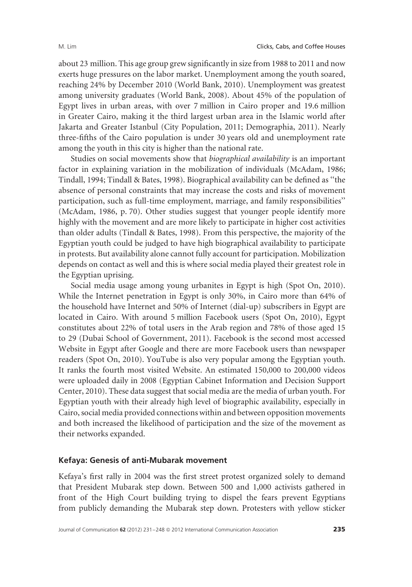about 23 million. This age group grew significantly in size from 1988 to 2011 and now exerts huge pressures on the labor market. Unemployment among the youth soared, reaching 24% by December 2010 (World Bank, 2010). Unemployment was greatest among university graduates (World Bank, 2008). About 45% of the population of Egypt lives in urban areas, with over 7 million in Cairo proper and 19.6 million in Greater Cairo, making it the third largest urban area in the Islamic world after Jakarta and Greater Istanbul (City Population, 2011; Demographia, 2011). Nearly three-fifths of the Cairo population is under 30 years old and unemployment rate among the youth in this city is higher than the national rate.

Studies on social movements show that *biographical availability* is an important factor in explaining variation in the mobilization of individuals (McAdam, 1986; Tindall, 1994; Tindall & Bates, 1998). Biographical availability can be defined as ''the absence of personal constraints that may increase the costs and risks of movement participation, such as full-time employment, marriage, and family responsibilities'' (McAdam, 1986, p. 70). Other studies suggest that younger people identify more highly with the movement and are more likely to participate in higher cost activities than older adults (Tindall & Bates, 1998). From this perspective, the majority of the Egyptian youth could be judged to have high biographical availability to participate in protests. But availability alone cannot fully account for participation. Mobilization depends on contact as well and this is where social media played their greatest role in the Egyptian uprising.

Social media usage among young urbanites in Egypt is high (Spot On, 2010). While the Internet penetration in Egypt is only 30%, in Cairo more than 64% of the household have Internet and 50% of Internet (dial-up) subscribers in Egypt are located in Cairo. With around 5 million Facebook users (Spot On, 2010), Egypt constitutes about 22% of total users in the Arab region and 78% of those aged 15 to 29 (Dubai School of Government, 2011). Facebook is the second most accessed Website in Egypt after Google and there are more Facebook users than newspaper readers (Spot On, 2010). YouTube is also very popular among the Egyptian youth. It ranks the fourth most visited Website. An estimated 150,000 to 200,000 videos were uploaded daily in 2008 (Egyptian Cabinet Information and Decision Support Center, 2010). These data suggest that social media are the media of urban youth. For Egyptian youth with their already high level of biographic availability, especially in Cairo, social media provided connections within and between opposition movements and both increased the likelihood of participation and the size of the movement as their networks expanded.

#### **Kefaya: Genesis of anti-Mubarak movement**

Kefaya's first rally in 2004 was the first street protest organized solely to demand that President Mubarak step down. Between 500 and 1,000 activists gathered in front of the High Court building trying to dispel the fears prevent Egyptians from publicly demanding the Mubarak step down. Protesters with yellow sticker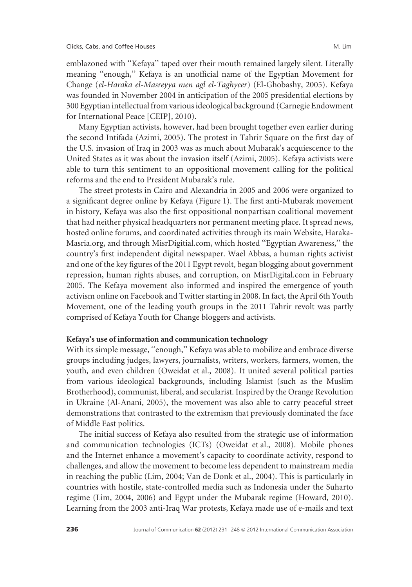emblazoned with ''Kefaya'' taped over their mouth remained largely silent. Literally meaning "enough," Kefaya is an unofficial name of the Egyptian Movement for Change (*el-Haraka el-Masreyya men agl el-Taghyeer*) (El-Ghobashy, 2005). Kefaya was founded in November 2004 in anticipation of the 2005 presidential elections by 300 Egyptian intellectual from various ideological background (Carnegie Endowment for International Peace [CEIP], 2010).

Many Egyptian activists, however, had been brought together even earlier during the second Intifada (Azimi, 2005). The protest in Tahrir Square on the first day of the U.S. invasion of Iraq in 2003 was as much about Mubarak's acquiescence to the United States as it was about the invasion itself (Azimi, 2005). Kefaya activists were able to turn this sentiment to an oppositional movement calling for the political reforms and the end to President Mubarak's rule.

The street protests in Cairo and Alexandria in 2005 and 2006 were organized to a significant degree online by Kefaya (Figure 1). The first anti-Mubarak movement in history, Kefaya was also the first oppositional nonpartisan coalitional movement that had neither physical headquarters nor permanent meeting place. It spread news, hosted online forums, and coordinated activities through its main Website, Haraka-Masria.org, and through MisrDigitial.com, which hosted ''Egyptian Awareness,'' the country's first independent digital newspaper. Wael Abbas, a human rights activist and one of the key figures of the 2011 Egypt revolt, began blogging about government repression, human rights abuses, and corruption, on MisrDigital.com in February 2005. The Kefaya movement also informed and inspired the emergence of youth activism online on Facebook and Twitter starting in 2008. In fact, the April 6th Youth Movement, one of the leading youth groups in the 2011 Tahrir revolt was partly comprised of Kefaya Youth for Change bloggers and activists.

#### **Kefaya's use of information and communication technology**

With its simple message, "enough," Kefaya was able to mobilize and embrace diverse groups including judges, lawyers, journalists, writers, workers, farmers, women, the youth, and even children (Oweidat et al., 2008). It united several political parties from various ideological backgrounds, including Islamist (such as the Muslim Brotherhood), communist, liberal, and secularist. Inspired by the Orange Revolution in Ukraine (Al-Anani, 2005), the movement was also able to carry peaceful street demonstrations that contrasted to the extremism that previously dominated the face of Middle East politics.

The initial success of Kefaya also resulted from the strategic use of information and communication technologies (ICTs) (Oweidat et al., 2008). Mobile phones and the Internet enhance a movement's capacity to coordinate activity, respond to challenges, and allow the movement to become less dependent to mainstream media in reaching the public (Lim, 2004; Van de Donk et al., 2004). This is particularly in countries with hostile, state-controlled media such as Indonesia under the Suharto regime (Lim, 2004, 2006) and Egypt under the Mubarak regime (Howard, 2010). Learning from the 2003 anti-Iraq War protests, Kefaya made use of e-mails and text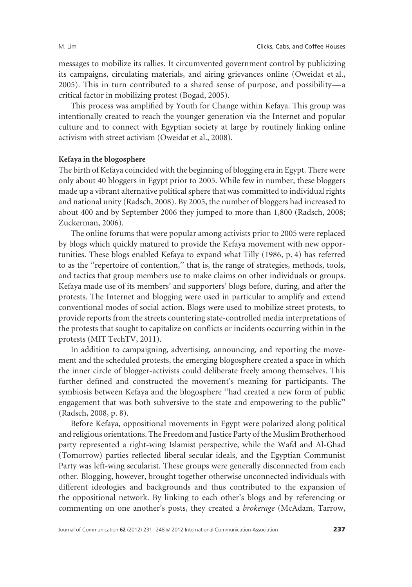messages to mobilize its rallies. It circumvented government control by publicizing its campaigns, circulating materials, and airing grievances online (Oweidat et al., 2005). This in turn contributed to a shared sense of purpose, and possibility—a critical factor in mobilizing protest (Bogad, 2005).

This process was amplified by Youth for Change within Kefaya. This group was intentionally created to reach the younger generation via the Internet and popular culture and to connect with Egyptian society at large by routinely linking online activism with street activism (Oweidat et al., 2008).

#### **Kefaya in the blogosphere**

The birth of Kefaya coincided with the beginning of blogging era in Egypt. There were only about 40 bloggers in Egypt prior to 2005. While few in number, these bloggers made up a vibrant alternative political sphere that was committed to individual rights and national unity (Radsch, 2008). By 2005, the number of bloggers had increased to about 400 and by September 2006 they jumped to more than 1,800 (Radsch, 2008; Zuckerman, 2006).

The online forums that were popular among activists prior to 2005 were replaced by blogs which quickly matured to provide the Kefaya movement with new opportunities. These blogs enabled Kefaya to expand what Tilly (1986, p. 4) has referred to as the ''repertoire of contention,'' that is, the range of strategies, methods, tools, and tactics that group members use to make claims on other individuals or groups. Kefaya made use of its members' and supporters' blogs before, during, and after the protests. The Internet and blogging were used in particular to amplify and extend conventional modes of social action. Blogs were used to mobilize street protests, to provide reports from the streets countering state-controlled media interpretations of the protests that sought to capitalize on conflicts or incidents occurring within in the protests (MIT TechTV, 2011).

In addition to campaigning, advertising, announcing, and reporting the movement and the scheduled protests, the emerging blogosphere created a space in which the inner circle of blogger-activists could deliberate freely among themselves. This further defined and constructed the movement's meaning for participants. The symbiosis between Kefaya and the blogosphere ''had created a new form of public engagement that was both subversive to the state and empowering to the public'' (Radsch, 2008, p. 8).

Before Kefaya, oppositional movements in Egypt were polarized along political and religious orientations. The Freedom and Justice Party of the Muslim Brotherhood party represented a right-wing Islamist perspective, while the Wafd and Al-Ghad (Tomorrow) parties reflected liberal secular ideals, and the Egyptian Communist Party was left-wing secularist. These groups were generally disconnected from each other. Blogging, however, brought together otherwise unconnected individuals with different ideologies and backgrounds and thus contributed to the expansion of the oppositional network. By linking to each other's blogs and by referencing or commenting on one another's posts, they created a *brokerage* (McAdam, Tarrow,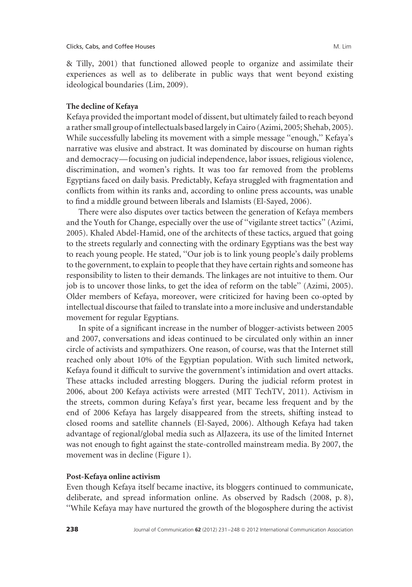& Tilly, 2001) that functioned allowed people to organize and assimilate their experiences as well as to deliberate in public ways that went beyond existing ideological boundaries (Lim, 2009).

#### **The decline of Kefaya**

Kefaya provided the important model of dissent, but ultimately failed to reach beyond a rather small group of intellectuals based largely in Cairo (Azimi, 2005; Shehab, 2005). While successfully labeling its movement with a simple message ''enough,'' Kefaya's narrative was elusive and abstract. It was dominated by discourse on human rights and democracy—focusing on judicial independence, labor issues, religious violence, discrimination, and women's rights. It was too far removed from the problems Egyptians faced on daily basis. Predictably, Kefaya struggled with fragmentation and conflicts from within its ranks and, according to online press accounts, was unable to find a middle ground between liberals and Islamists (El-Sayed, 2006).

There were also disputes over tactics between the generation of Kefaya members and the Youth for Change, especially over the use of ''vigilante street tactics'' (Azimi, 2005). Khaled Abdel-Hamid, one of the architects of these tactics, argued that going to the streets regularly and connecting with the ordinary Egyptians was the best way to reach young people. He stated, ''Our job is to link young people's daily problems to the government, to explain to people that they have certain rights and someone has responsibility to listen to their demands. The linkages are not intuitive to them. Our job is to uncover those links, to get the idea of reform on the table'' (Azimi, 2005). Older members of Kefaya, moreover, were criticized for having been co-opted by intellectual discourse that failed to translate into a more inclusive and understandable movement for regular Egyptians.

In spite of a significant increase in the number of blogger-activists between 2005 and 2007, conversations and ideas continued to be circulated only within an inner circle of activists and sympathizers. One reason, of course, was that the Internet still reached only about 10% of the Egyptian population. With such limited network, Kefaya found it difficult to survive the government's intimidation and overt attacks. These attacks included arresting bloggers. During the judicial reform protest in 2006, about 200 Kefaya activists were arrested (MIT TechTV, 2011). Activism in the streets, common during Kefaya's first year, became less frequent and by the end of 2006 Kefaya has largely disappeared from the streets, shifting instead to closed rooms and satellite channels (El-Sayed, 2006). Although Kefaya had taken advantage of regional/global media such as AlJazeera, its use of the limited Internet was not enough to fight against the state-controlled mainstream media. By 2007, the movement was in decline (Figure 1).

#### **Post-Kefaya online activism**

Even though Kefaya itself became inactive, its bloggers continued to communicate, deliberate, and spread information online. As observed by Radsch (2008, p. 8), ''While Kefaya may have nurtured the growth of the blogosphere during the activist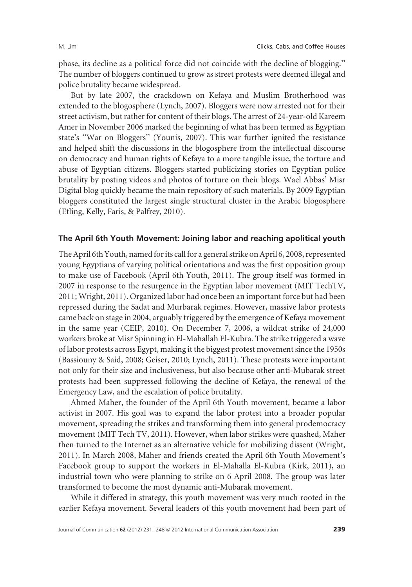phase, its decline as a political force did not coincide with the decline of blogging.'' The number of bloggers continued to grow as street protests were deemed illegal and police brutality became widespread.

But by late 2007, the crackdown on Kefaya and Muslim Brotherhood was extended to the blogosphere (Lynch, 2007). Bloggers were now arrested not for their street activism, but rather for content of their blogs. The arrest of 24-year-old Kareem Amer in November 2006 marked the beginning of what has been termed as Egyptian state's ''War on Bloggers'' (Younis, 2007). This war further ignited the resistance and helped shift the discussions in the blogosphere from the intellectual discourse on democracy and human rights of Kefaya to a more tangible issue, the torture and abuse of Egyptian citizens. Bloggers started publicizing stories on Egyptian police brutality by posting videos and photos of torture on their blogs. Wael Abbas' Misr Digital blog quickly became the main repository of such materials. By 2009 Egyptian bloggers constituted the largest single structural cluster in the Arabic blogosphere (Etling, Kelly, Faris, & Palfrey, 2010).

#### **The April 6th Youth Movement: Joining labor and reaching apolitical youth**

The April 6th Youth, named for its call for a general strike on April 6, 2008, represented young Egyptians of varying political orientations and was the first opposition group to make use of Facebook (April 6th Youth, 2011). The group itself was formed in 2007 in response to the resurgence in the Egyptian labor movement (MIT TechTV, 2011; Wright, 2011). Organized labor had once been an important force but had been repressed during the Sadat and Murbarak regimes. However, massive labor protests came back on stage in 2004, arguably triggered by the emergence of Kefaya movement in the same year (CEIP, 2010). On December 7, 2006, a wildcat strike of 24,000 workers broke at Misr Spinning in El-Mahallah El-Kubra. The strike triggered a wave of labor protests across Egypt, making it the biggest protest movement since the 1950s (Bassiouny & Said, 2008; Geiser, 2010; Lynch, 2011). These protests were important not only for their size and inclusiveness, but also because other anti-Mubarak street protests had been suppressed following the decline of Kefaya, the renewal of the Emergency Law, and the escalation of police brutality.

Ahmed Maher, the founder of the April 6th Youth movement, became a labor activist in 2007. His goal was to expand the labor protest into a broader popular movement, spreading the strikes and transforming them into general prodemocracy movement (MIT Tech TV, 2011). However, when labor strikes were quashed, Maher then turned to the Internet as an alternative vehicle for mobilizing dissent (Wright, 2011). In March 2008, Maher and friends created the April 6th Youth Movement's Facebook group to support the workers in El-Mahalla El-Kubra (Kirk, 2011), an industrial town who were planning to strike on 6 April 2008. The group was later transformed to become the most dynamic anti-Mubarak movement.

While it differed in strategy, this youth movement was very much rooted in the earlier Kefaya movement. Several leaders of this youth movement had been part of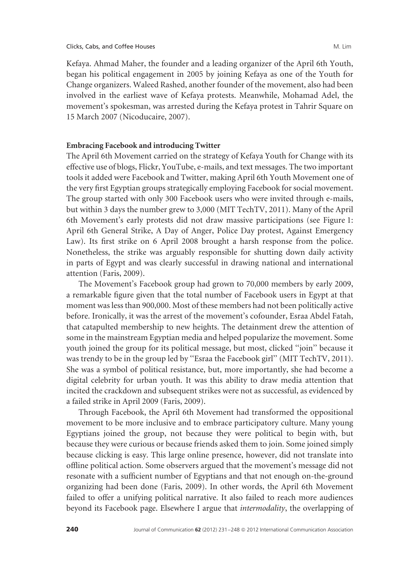Kefaya. Ahmad Maher, the founder and a leading organizer of the April 6th Youth, began his political engagement in 2005 by joining Kefaya as one of the Youth for Change organizers. Waleed Rashed, another founder of the movement, also had been involved in the earliest wave of Kefaya protests. Meanwhile, Mohamad Adel, the movement's spokesman, was arrested during the Kefaya protest in Tahrir Square on 15 March 2007 (Nicoducaire, 2007).

#### **Embracing Facebook and introducing Twitter**

The April 6th Movement carried on the strategy of Kefaya Youth for Change with its effective use of blogs, Flickr, YouTube, e-mails, and text messages. The two important tools it added were Facebook and Twitter, making April 6th Youth Movement one of the very first Egyptian groups strategically employing Facebook for social movement. The group started with only 300 Facebook users who were invited through e-mails, but within 3 days the number grew to 3,000 (MIT TechTV, 2011). Many of the April 6th Movement's early protests did not draw massive participations (see Figure 1: April 6th General Strike, A Day of Anger, Police Day protest, Against Emergency Law). Its first strike on 6 April 2008 brought a harsh response from the police. Nonetheless, the strike was arguably responsible for shutting down daily activity in parts of Egypt and was clearly successful in drawing national and international attention (Faris, 2009).

The Movement's Facebook group had grown to 70,000 members by early 2009, a remarkable figure given that the total number of Facebook users in Egypt at that moment was less than 900,000. Most of these members had not been politically active before. Ironically, it was the arrest of the movement's cofounder, Esraa Abdel Fatah, that catapulted membership to new heights. The detainment drew the attention of some in the mainstream Egyptian media and helped popularize the movement. Some youth joined the group for its political message, but most, clicked ''join'' because it was trendy to be in the group led by ''Esraa the Facebook girl'' (MIT TechTV, 2011). She was a symbol of political resistance, but, more importantly, she had become a digital celebrity for urban youth. It was this ability to draw media attention that incited the crackdown and subsequent strikes were not as successful, as evidenced by a failed strike in April 2009 (Faris, 2009).

Through Facebook, the April 6th Movement had transformed the oppositional movement to be more inclusive and to embrace participatory culture. Many young Egyptians joined the group, not because they were political to begin with, but because they were curious or because friends asked them to join. Some joined simply because clicking is easy. This large online presence, however, did not translate into offline political action. Some observers argued that the movement's message did not resonate with a sufficient number of Egyptians and that not enough on-the-ground organizing had been done (Faris, 2009). In other words, the April 6th Movement failed to offer a unifying political narrative. It also failed to reach more audiences beyond its Facebook page. Elsewhere I argue that *intermodality*, the overlapping of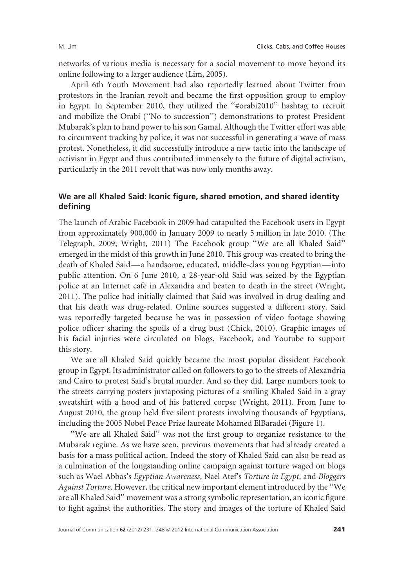networks of various media is necessary for a social movement to move beyond its online following to a larger audience (Lim, 2005).

April 6th Youth Movement had also reportedly learned about Twitter from protestors in the Iranian revolt and became the first opposition group to employ in Egypt. In September 2010, they utilized the "#orabi2010" hashtag to recruit and mobilize the Orabi (''No to succession'') demonstrations to protest President Mubarak's plan to hand power to his son Gamal. Although the Twitter effort was able to circumvent tracking by police, it was not successful in generating a wave of mass protest. Nonetheless, it did successfully introduce a new tactic into the landscape of activism in Egypt and thus contributed immensely to the future of digital activism, particularly in the 2011 revolt that was now only months away.

## **We are all Khaled Said: Iconic figure, shared emotion, and shared identity defining**

The launch of Arabic Facebook in 2009 had catapulted the Facebook users in Egypt from approximately 900,000 in January 2009 to nearly 5 million in late 2010. (The Telegraph, 2009; Wright, 2011) The Facebook group ''We are all Khaled Said'' emerged in the midst of this growth in June 2010. This group was created to bring the death of Khaled Said—a handsome, educated, middle-class young Egyptian—into public attention. On 6 June 2010, a 28-year-old Said was seized by the Egyptian police at an Internet cafe in Alexandra and beaten to death in the street (Wright, ´ 2011). The police had initially claimed that Said was involved in drug dealing and that his death was drug-related. Online sources suggested a different story. Said was reportedly targeted because he was in possession of video footage showing police officer sharing the spoils of a drug bust (Chick, 2010). Graphic images of his facial injuries were circulated on blogs, Facebook, and Youtube to support this story.

We are all Khaled Said quickly became the most popular dissident Facebook group in Egypt. Its administrator called on followers to go to the streets of Alexandria and Cairo to protest Said's brutal murder. And so they did. Large numbers took to the streets carrying posters juxtaposing pictures of a smiling Khaled Said in a gray sweatshirt with a hood and of his battered corpse (Wright, 2011). From June to August 2010, the group held five silent protests involving thousands of Egyptians, including the 2005 Nobel Peace Prize laureate Mohamed ElBaradei (Figure 1).

''We are all Khaled Said'' was not the first group to organize resistance to the Mubarak regime. As we have seen, previous movements that had already created a basis for a mass political action. Indeed the story of Khaled Said can also be read as a culmination of the longstanding online campaign against torture waged on blogs such as Wael Abbas's *Egyptian Awareness*, Nael Atef's *Torture in Egypt*, and *Bloggers Against Torture*. However, the critical new important element introduced by the ''We are all Khaled Said'' movement was a strong symbolic representation, an iconic figure to fight against the authorities. The story and images of the torture of Khaled Said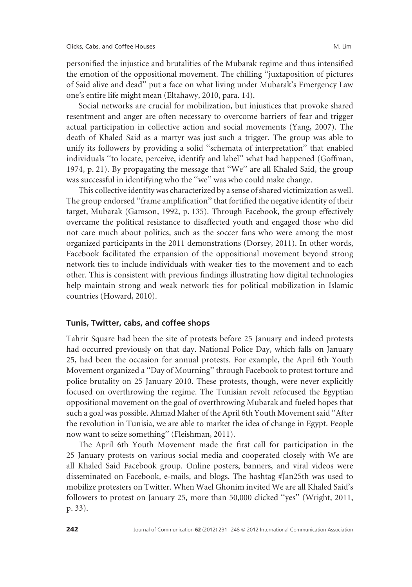personified the injustice and brutalities of the Mubarak regime and thus intensified the emotion of the oppositional movement. The chilling ''juxtaposition of pictures of Said alive and dead'' put a face on what living under Mubarak's Emergency Law one's entire life might mean (Eltahawy, 2010, para. 14).

Social networks are crucial for mobilization, but injustices that provoke shared resentment and anger are often necessary to overcome barriers of fear and trigger actual participation in collective action and social movements (Yang, 2007). The death of Khaled Said as a martyr was just such a trigger. The group was able to unify its followers by providing a solid ''schemata of interpretation'' that enabled individuals ''to locate, perceive, identify and label'' what had happened (Goffman, 1974, p. 21). By propagating the message that ''We'' are all Khaled Said, the group was successful in identifying who the ''we'' was who could make change.

This collective identity was characterized by a sense of shared victimization as well. The group endorsed ''frame amplification'' that fortified the negative identity of their target, Mubarak (Gamson, 1992, p. 135). Through Facebook, the group effectively overcame the political resistance to disaffected youth and engaged those who did not care much about politics, such as the soccer fans who were among the most organized participants in the 2011 demonstrations (Dorsey, 2011). In other words, Facebook facilitated the expansion of the oppositional movement beyond strong network ties to include individuals with weaker ties to the movement and to each other. This is consistent with previous findings illustrating how digital technologies help maintain strong and weak network ties for political mobilization in Islamic countries (Howard, 2010).

#### **Tunis, Twitter, cabs, and coffee shops**

Tahrir Square had been the site of protests before 25 January and indeed protests had occurred previously on that day. National Police Day, which falls on January 25, had been the occasion for annual protests. For example, the April 6th Youth Movement organized a ''Day of Mourning'' through Facebook to protest torture and police brutality on 25 January 2010. These protests, though, were never explicitly focused on overthrowing the regime. The Tunisian revolt refocused the Egyptian oppositional movement on the goal of overthrowing Mubarak and fueled hopes that such a goal was possible. Ahmad Maher of the April 6th Youth Movement said ''After the revolution in Tunisia, we are able to market the idea of change in Egypt. People now want to seize something'' (Fleishman, 2011).

The April 6th Youth Movement made the first call for participation in the 25 January protests on various social media and cooperated closely with We are all Khaled Said Facebook group. Online posters, banners, and viral videos were disseminated on Facebook, e-mails, and blogs. The hashtag #Jan25th was used to mobilize protesters on Twitter. When Wael Ghonim invited We are all Khaled Said's followers to protest on January 25, more than 50,000 clicked ''yes'' (Wright, 2011, p. 33).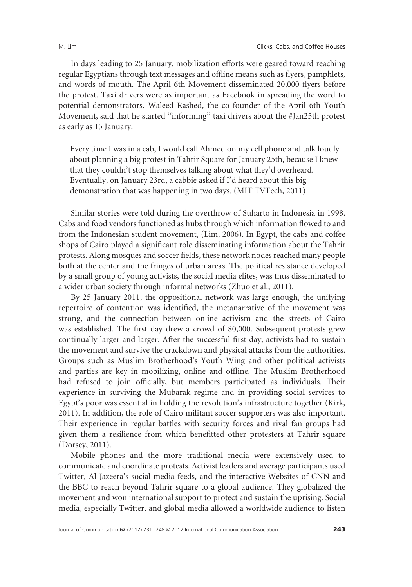In days leading to 25 January, mobilization efforts were geared toward reaching regular Egyptians through text messages and offline means such as flyers, pamphlets, and words of mouth. The April 6th Movement disseminated 20,000 flyers before the protest. Taxi drivers were as important as Facebook in spreading the word to potential demonstrators. Waleed Rashed, the co-founder of the April 6th Youth Movement, said that he started ''informing'' taxi drivers about the #Jan25th protest as early as 15 January:

Every time I was in a cab, I would call Ahmed on my cell phone and talk loudly about planning a big protest in Tahrir Square for January 25th, because I knew that they couldn't stop themselves talking about what they'd overheard. Eventually, on January 23rd, a cabbie asked if I'd heard about this big demonstration that was happening in two days. (MIT TVTech, 2011)

Similar stories were told during the overthrow of Suharto in Indonesia in 1998. Cabs and food vendors functioned as hubs through which information flowed to and from the Indonesian student movement, (Lim, 2006). In Egypt, the cabs and coffee shops of Cairo played a significant role disseminating information about the Tahrir protests. Along mosques and soccer fields, these network nodes reached many people both at the center and the fringes of urban areas. The political resistance developed by a small group of young activists, the social media elites, was thus disseminated to a wider urban society through informal networks (Zhuo et al., 2011).

By 25 January 2011, the oppositional network was large enough, the unifying repertoire of contention was identified, the metanarrative of the movement was strong, and the connection between online activism and the streets of Cairo was established. The first day drew a crowd of 80,000. Subsequent protests grew continually larger and larger. After the successful first day, activists had to sustain the movement and survive the crackdown and physical attacks from the authorities. Groups such as Muslim Brotherhood's Youth Wing and other political activists and parties are key in mobilizing, online and offline. The Muslim Brotherhood had refused to join officially, but members participated as individuals. Their experience in surviving the Mubarak regime and in providing social services to Egypt's poor was essential in holding the revolution's infrastructure together (Kirk, 2011). In addition, the role of Cairo militant soccer supporters was also important. Their experience in regular battles with security forces and rival fan groups had given them a resilience from which benefitted other protesters at Tahrir square (Dorsey, 2011).

Mobile phones and the more traditional media were extensively used to communicate and coordinate protests. Activist leaders and average participants used Twitter, Al Jazeera's social media feeds, and the interactive Websites of CNN and the BBC to reach beyond Tahrir square to a global audience. They globalized the movement and won international support to protect and sustain the uprising. Social media, especially Twitter, and global media allowed a worldwide audience to listen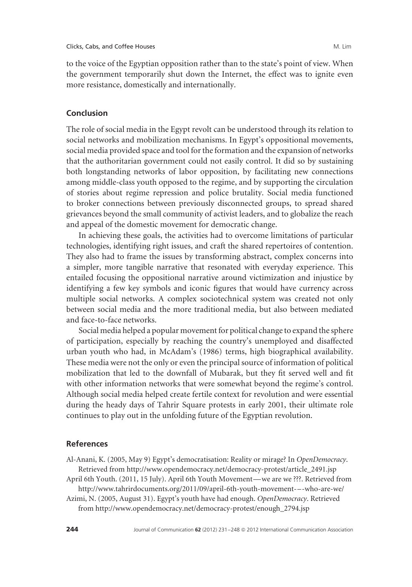to the voice of the Egyptian opposition rather than to the state's point of view. When the government temporarily shut down the Internet, the effect was to ignite even more resistance, domestically and internationally.

#### **Conclusion**

The role of social media in the Egypt revolt can be understood through its relation to social networks and mobilization mechanisms. In Egypt's oppositional movements, social media provided space and tool for the formation and the expansion of networks that the authoritarian government could not easily control. It did so by sustaining both longstanding networks of labor opposition, by facilitating new connections among middle-class youth opposed to the regime, and by supporting the circulation of stories about regime repression and police brutality. Social media functioned to broker connections between previously disconnected groups, to spread shared grievances beyond the small community of activist leaders, and to globalize the reach and appeal of the domestic movement for democratic change.

In achieving these goals, the activities had to overcome limitations of particular technologies, identifying right issues, and craft the shared repertoires of contention. They also had to frame the issues by transforming abstract, complex concerns into a simpler, more tangible narrative that resonated with everyday experience. This entailed focusing the oppositional narrative around victimization and injustice by identifying a few key symbols and iconic figures that would have currency across multiple social networks. A complex sociotechnical system was created not only between social media and the more traditional media, but also between mediated and face-to-face networks.

Social media helped a popular movement for political change to expand the sphere of participation, especially by reaching the country's unemployed and disaffected urban youth who had, in McAdam's (1986) terms, high biographical availability. These media were not the only or even the principal source of information of political mobilization that led to the downfall of Mubarak, but they fit served well and fit with other information networks that were somewhat beyond the regime's control. Although social media helped create fertile context for revolution and were essential during the heady days of Tahrir Square protests in early 2001, their ultimate role continues to play out in the unfolding future of the Egyptian revolution.

#### **References**

Al-Anani, K. (2005, May 9) Egypt's democratisation: Reality or mirage? In *OpenDemocracy*. Retrieved from http://www.opendemocracy.net/democracy-protest/article\_2491.jsp

April 6th Youth. (2011, 15 July). April 6th Youth Movement—we are we ???. Retrieved from http://www.tahrirdocuments.org/2011/09/april-6th-youth-movement-–-who-are-we/

Azimi, N. (2005, August 31). Egypt's youth have had enough. *OpenDemocracy*. Retrieved from http://www.opendemocracy.net/democracy-protest/enough\_2794.jsp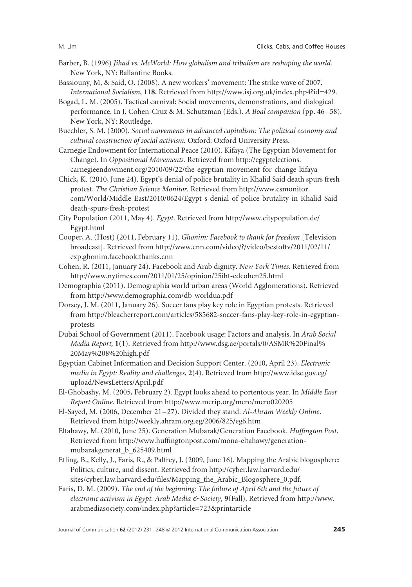- 
- Barber, B. (1996) *Jihad vs. McWorld: How globalism and tribalism are reshaping the world.* New York, NY: Ballantine Books.
- Bassiouny, M, & Said, O. (2008). A new workers' movement: The strike wave of 2007. *International Socialism*, **118.** Retrieved from http://www.isj.org.uk/index.php4?id=429.
- Bogad, L. M. (2005). Tactical carnival: Social movements, demonstrations, and dialogical performance. In J. Cohen-Cruz & M. Schutzman (Eds.). *A Boal companion* (pp. 46–58). New York, NY: Routledge.
- Buechler, S. M. (2000). *Social movements in advanced capitalism: The political economy and cultural construction of social activism.* Oxford: Oxford University Press.
- Carnegie Endowment for International Peace (2010). Kifaya (The Egyptian Movement for Change). In *Oppositional Movements.* Retrieved from http://egyptelections. carnegieendowment.org/2010/09/22/the-egyptian-movement-for-change-kifaya
- Chick, K. (2010, June 24). Egypt's denial of police brutality in Khalid Said death spurs fresh protest. *The Christian Science Monitor.* Retrieved from http://www.csmonitor. com/World/Middle-East/2010/0624/Egypt-s-denial-of-police-brutality-in-Khalid-Saiddeath-spurs-fresh-protest
- City Population (2011, May 4). *Egypt*. Retrieved from http://www.citypopulation.de/ Egypt.html
- Cooper, A. (Host) (2011, February 11). *Ghonim: Facebook to thank for freedom* [Television broadcast]. Retrieved from http://www.cnn.com/video/?/video/bestoftv/2011/02/11/ exp.ghonim.facebook.thanks.cnn
- Cohen, R. (2011, January 24). Facebook and Arab dignity. *New York Times*. Retrieved from http://www.nytimes.com/2011/01/25/opinion/25iht-edcohen25.html
- Demographia (2011). Demographia world urban areas (World Agglomerations). Retrieved from http://www.demographia.com/db-worldua.pdf
- Dorsey, J. M. (2011, January 26). Soccer fans play key role in Egyptian protests. Retrieved from http://bleacherreport.com/articles/585682-soccer-fans-play-key-role-in-egyptianprotests
- Dubai School of Government (2011). Facebook usage: Factors and analysis. In *Arab Social Media Report,* **1**(1). Retrieved from http://www.dsg.ae/portals/0/ASMR%20Final% 20May%208%20high.pdf
- Egyptian Cabinet Information and Decision Support Center. (2010, April 23). *Electronic media in Egypt: Reality and challenges*, **2**(4). Retrieved from http://www.idsc.gov.eg/ upload/NewsLetters/April.pdf
- El-Ghobashy, M. (2005, February 2). Egypt looks ahead to portentous year. In *Middle East Report Online*. Retrieved from http://www.merip.org/mero/mero020205
- El-Sayed, M. (2006, December 21–27). Divided they stand. *Al-Ahram Weekly Online*. Retrieved from http://weekly.ahram.org.eg/2006/825/eg6.htm
- Eltahawy, M. (2010, June 25). Generation Mubarak/Generation Facebook. *Huffington Post*. Retrieved from http://www.huffingtonpost.com/mona-eltahawy/generationmubarakgenerat\_b\_625409.html
- Etling, B., Kelly, J., Faris, R., & Palfrey, J. (2009, June 16). Mapping the Arabic blogosphere: Politics, culture, and dissent. Retrieved from http://cyber.law.harvard.edu/ sites/cyber.law.harvard.edu/files/Mapping\_the\_Arabic\_Blogosphere\_0.pdf.
- Faris, D. M. (2009). *The end of the beginning: The failure of April 6th and the future of electronic activism in Egypt. Arab Media & Society,* **9**(Fall). Retrieved from http://www. arabmediasociety.com/index.php?article=723&printarticle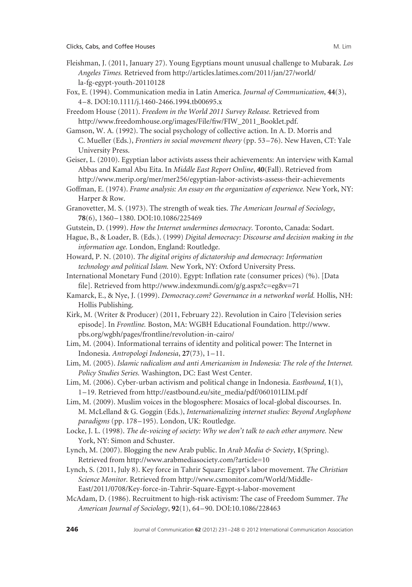- Fleishman, J. (2011, January 27). Young Egyptians mount unusual challenge to Mubarak. *Los Angeles Times.* Retrieved from http://articles.latimes.com/2011/jan/27/world/ la-fg-egypt-youth-20110128
- Fox, E. (1994). Communication media in Latin America. *Journal of Communication*, **44**(3), 4–8. DOI:10.1111/j.1460-2466.1994.tb00695.x

Freedom House (2011). *Freedom in the World 2011 Survey Release.* Retrieved from http://www.freedomhouse.org/images/File/fiw/FIW\_2011\_Booklet.pdf.

Gamson, W. A. (1992). The social psychology of collective action. In A. D. Morris and C. Mueller (Eds.), *Frontiers in social movement theory* (pp. 53–76). New Haven, CT: Yale University Press.

Geiser, L. (2010). Egyptian labor activists assess their achievements: An interview with Kamal Abbas and Kamal Abu Eita. In *Middle East Report Online*, **40**(Fall). Retrieved from http://www.merip.org/mer/mer256/egyptian-labor-activists-assess-their-achievements

- Goffman, E. (1974). *Frame analysis: An essay on the organization of experience.* New York, NY: Harper & Row.
- Granovetter, M. S. (1973). The strength of weak ties. *The American Journal of Sociology*, **78**(6), 1360–1380. DOI:10.1086/225469
- Gutstein, D. (1999). *How the Internet undermines democracy.* Toronto, Canada: Sodart.
- Hague, B., & Loader, B. (Eds.). (1999) *Digital democracy: Discourse and decision making in the information age.* London, England: Routledge.
- Howard, P. N. (2010). *The digital origins of dictatorship and democracy: Information technology and political Islam.* New York, NY: Oxford University Press.
- International Monetary Fund (2010). Egypt: Inflation rate (consumer prices) (%). [Data file]. Retrieved from http://www.indexmundi.com/g/g.aspx?c=eg&v=71
- Kamarck, E., & Nye, J. (1999). *Democracy.com? Governance in a networked world.* Hollis, NH: Hollis Publishing.
- Kirk, M. (Writer & Producer) (2011, February 22). Revolution in Cairo [Television series episode]. In *Frontline.* Boston, MA: WGBH Educational Foundation. http://www. pbs.org/wgbh/pages/frontline/revolution-in-cairo/
- Lim, M. (2004). Informational terrains of identity and political power: The Internet in Indonesia. *Antropologi Indonesia*, **27**(73), 1–11.
- Lim, M. (2005). *Islamic radicalism and anti Americanism in Indonesia: The role of the Internet. Policy Studies Series.* Washington, DC: East West Center.
- Lim, M. (2006). Cyber-urban activism and political change in Indonesia. *Eastbound*, **1**(1), 1–19. Retrieved from http://eastbound.eu/site\_media/pdf/060101LIM.pdf

Lim, M. (2009). Muslim voices in the blogosphere: Mosaics of local-global discourses. In. M. McLelland & G. Goggin (Eds.), *Internationalizing internet studies: Beyond Anglophone paradigms* (pp. 178–195). London, UK: Routledge.

Locke, J. L. (1998). *The de-voicing of society: Why we don't talk to each other anymore.* New York, NY: Simon and Schuster.

- Lynch, M. (2007). Blogging the new Arab public. In *Arab Media & Society*, **1**(Spring). Retrieved from http://www.arabmediasociety.com/?article=10
- Lynch, S. (2011, July 8). Key force in Tahrir Square: Egypt's labor movement. *The Christian Science Monitor.* Retrieved from http://www.csmonitor.com/World/Middle-East/2011/0708/Key-force-in-Tahrir-Square-Egypt-s-labor-movement
- McAdam, D. (1986). Recruitment to high-risk activism: The case of Freedom Summer. *The American Journal of Sociology*, **92**(1), 64–90. DOI:10.1086/228463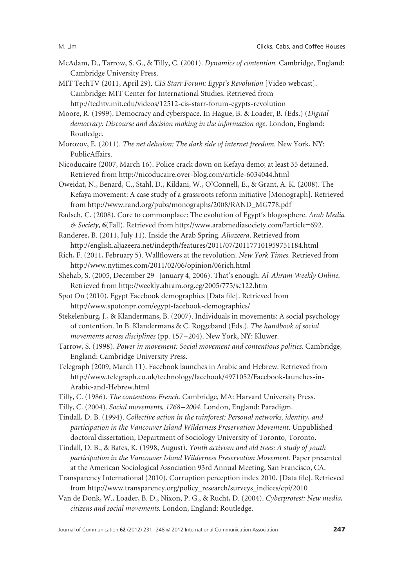- McAdam, D., Tarrow, S. G., & Tilly, C. (2001). *Dynamics of contention.* Cambridge, England: Cambridge University Press.
- MIT TechTV (2011, April 29). *CIS Starr Forum: Egypt's Revolution* [Video webcast]. Cambridge: MIT Center for International Studies. Retrieved from http://techtv.mit.edu/videos/12512-cis-starr-forum-egypts-revolution
- Moore, R. (1999). Democracy and cyberspace. In Hague, B. & Loader, B. (Eds.) (*Digital democracy: Discourse and decision making in the information age*. London, England: Routledge.
- Morozov, E. (2011). *The net delusion: The dark side of internet freedom.* New York, NY: PublicAffairs.
- Nicoducaire (2007, March 16). Police crack down on Kefaya demo; at least 35 detained. Retrieved from http://nicoducaire.over-blog.com/article-6034044.html
- Oweidat, N., Benard, C., Stahl, D., Kildani, W., O'Connell, E., & Grant, A. K. (2008). The Kefaya movement: A case study of a grassroots reform initiative [Monograph]. Retrieved from http://www.rand.org/pubs/monographs/2008/RAND\_MG778.pdf
- Radsch, C. (2008). Core to commonplace: The evolution of Egypt's blogosphere. *Arab Media & Society*, **6**(Fall). Retrieved from http://www.arabmediasociety.com/?article=692.
- Randeree, B. (2011, July 11). Inside the Arab Spring. *Aljazeera*. Retrieved from http://english.aljazeera.net/indepth/features/2011/07/201177101959751184.html
- Rich, F. (2011, February 5). Wallflowers at the revolution. *New York Times.* Retrieved from http://www.nytimes.com/2011/02/06/opinion/06rich.html
- Shehab, S. (2005, December 29–January 4, 2006). That's enough. *Al-Ahram Weekly Online.* Retrieved from http://weekly.ahram.org.eg/2005/775/sc122.htm
- Spot On (2010). Egypt Facebook demographics [Data file]. Retrieved from http://www.spotonpr.com/egypt-facebook-demographics/
- Stekelenburg, J., & Klandermans, B. (2007). Individuals in movements: A social psychology of contention. In B. Klandermans & C. Roggeband (Eds.). *The handbook of social movements across disciplines* (pp. 157–204). New York, NY: Kluwer.
- Tarrow, S. (1998). *Power in movement: Social movement and contentious politics.* Cambridge, England: Cambridge University Press.
- Telegraph (2009, March 11). Facebook launches in Arabic and Hebrew. Retrieved from http://www.telegraph.co.uk/technology/facebook/4971052/Facebook-launches-in-Arabic-and-Hebrew.html
- Tilly, C. (1986). *The contentious French.* Cambridge, MA: Harvard University Press.
- Tilly, C. (2004). *Social movements, 1768–2004*. London, England: Paradigm.
- Tindall, D. B. (1994). *Collective action in the rainforest: Personal networks, identity, and participation in the Vancouver Island Wilderness Preservation Movement*. Unpublished doctoral dissertation, Department of Sociology University of Toronto, Toronto.
- Tindall, D. B., & Bates, K. (1998, August). *Youth activism and old trees: A study of youth participation in the Vancouver Island Wilderness Preservation Movement.* Paper presented at the American Sociological Association 93rd Annual Meeting, San Francisco, CA.
- Transparency International (2010). Corruption perception index 2010. [Data file]. Retrieved from http://www.transparency.org/policy\_research/surveys\_indices/cpi/2010
- Van de Donk, W., Loader, B. D., Nixon, P. G., & Rucht, D. (2004). *Cyberprotest: New media, citizens and social movements.* London, England: Routledge.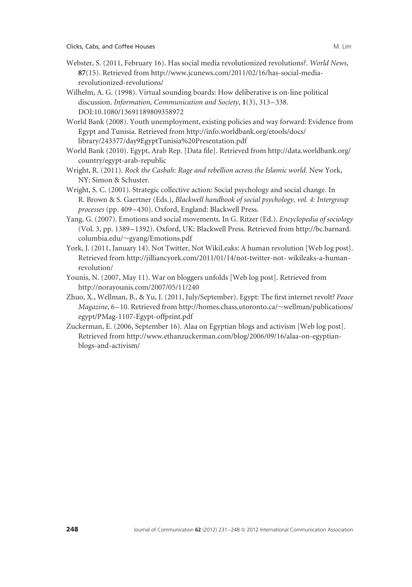- Webster, S. (2011, February 16). Has social media revolutionized revolutions?. *World News*, **87**(15). Retrieved from http://www.jcunews.com/2011/02/16/has-social-mediarevolutionized-revolutions/
- Wilhelm, A. G. (1998). Virtual sounding boards: How deliberative is on-line political discussion. *Information, Communication and Society*, **1**(3), 313–338. DOI:10.1080/13691189809358972
- World Bank (2008). Youth unemployment, existing policies and way forward: Evidence from Egypt and Tunisia. Retrieved from http://info.worldbank.org/etools/docs/ library/243377/day9EgyptTunisia%20Presentation.pdf
- World Bank (2010). Egypt, Arab Rep. [Data file]. Retrieved from http://data.worldbank.org/ country/egypt-arab-republic
- Wright, R. (2011). *Rock the Casbah: Rage and rebellion across the Islamic world.* New York, NY: Simon & Schuster.
- Wright, S. C. (2001). Strategic collective action: Social psychology and social change. In R. Brown & S. Gaertner (Eds.), *Blackwell handbook of social psychology, vol. 4: Intergroup processes* (pp. 409–430). Oxford, England: Blackwell Press.
- Yang, G. (2007). Emotions and social movements. In G. Ritzer (Ed.). *Encyclopedia of sociology* (Vol. 3, pp. 1389–1392). Oxford, UK: Blackwell Press. Retrieved from http://bc.barnard. columbia.edu/∼gyang/Emotions.pdf
- York, J. (2011, January 14). Not Twitter, Not WikiLeaks: A human revolution [Web log post]. Retrieved from http://jilliancyork.com/2011/01/14/not-twitter-not- wikileaks-a-humanrevolution/
- Younis, N. (2007, May 11). War on bloggers unfolds [Web log post]. Retrieved from http://norayounis.com/2007/05/11/240
- Zhuo, X., Wellman, B., & Yu, J. (2011, July/September). Egypt: The first internet revolt? *Peace Magazine*, 6–10. Retrieved from http://homes.chass.utoronto.ca/∼wellman/publications/ egypt/PMag-1107-Egypt-offprint.pdf
- Zuckerman, E. (2006, September 16). Alaa on Egyptian blogs and activism [Web log post]. Retrieved from http://www.ethanzuckerman.com/blog/2006/09/16/alaa-on-egyptianblogs-and-activism/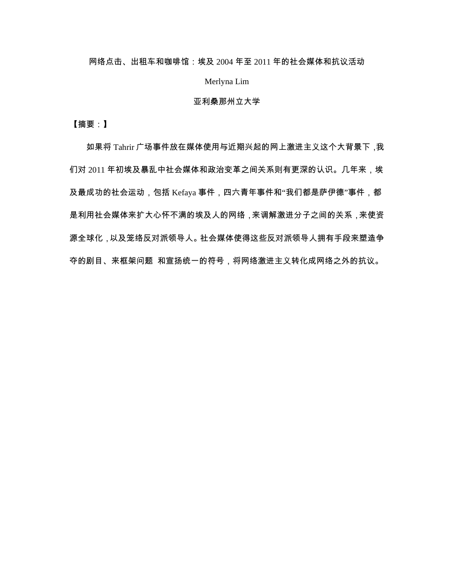网络点击、出租车和咖啡馆:埃及 2004 年至 2011 年的社会媒体和抗议活动

### Merlyna Lim

## 亚利桑那州立大学

【摘要:】

如果将 Tahrir 广场事件放在媒体使用与近期兴起的网上激进主义这个大背景下,我 们对 2011 年初埃及暴乱中社会媒体和政治变革之间关系则有更深的认识。几年来,埃 及最成功的社会运动,包括 Kefaya 事件,四六青年事件和"我们都是萨伊德"事件,都 是利用社会媒体来扩大心怀不满的埃及人的网络,来调解激进分子之间的关系,来使资 源全球化,以及笼络反对派领导人。社会媒体使得这些反对派领导人拥有手段来塑造争 夺的剧目、来框架问题 和宣扬统一的符号,将网络激进主义转化成网络之外的抗议。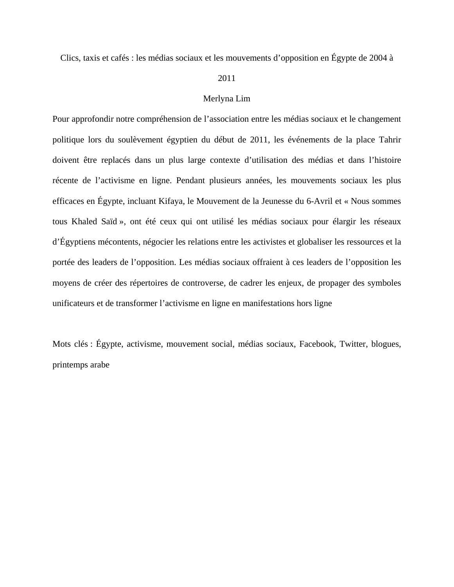Clics, taxis et cafés : les médias sociaux et les mouvements d'opposition en Égypte de 2004 à

## 2011

## Merlyna Lim

Pour approfondir notre compréhension de l'association entre les médias sociaux et le changement politique lors du soulèvement égyptien du début de 2011, les événements de la place Tahrir doivent être replacés dans un plus large contexte d'utilisation des médias et dans l'histoire récente de l'activisme en ligne. Pendant plusieurs années, les mouvements sociaux les plus efficaces en Égypte, incluant Kifaya, le Mouvement de la Jeunesse du 6-Avril et « Nous sommes tous Khaled Saïd », ont été ceux qui ont utilisé les médias sociaux pour élargir les réseaux d'Égyptiens mécontents, négocier les relations entre les activistes et globaliser les ressources et la portée des leaders de l'opposition. Les médias sociaux offraient à ces leaders de l'opposition les moyens de créer des répertoires de controverse, de cadrer les enjeux, de propager des symboles unificateurs et de transformer l'activisme en ligne en manifestations hors ligne

Mots clés : Égypte, activisme, mouvement social, médias sociaux, Facebook, Twitter, blogues, printemps arabe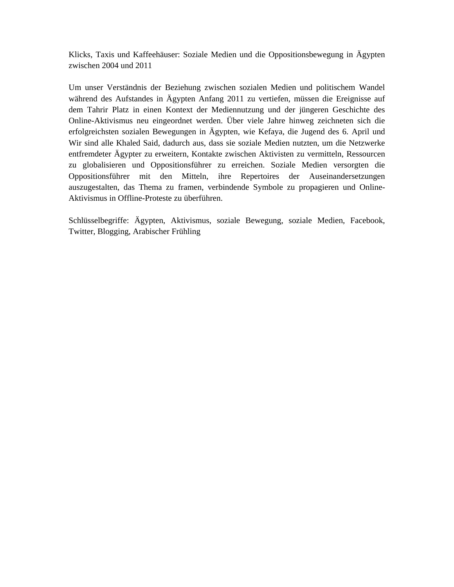Klicks, Taxis und Kaffeehäuser: Soziale Medien und die Oppositionsbewegung in Ägypten zwischen 2004 und 2011

Um unser Verständnis der Beziehung zwischen sozialen Medien und politischem Wandel während des Aufstandes in Ägypten Anfang 2011 zu vertiefen, müssen die Ereignisse auf dem Tahrir Platz in einen Kontext der Mediennutzung und der jüngeren Geschichte des Online-Aktivismus neu eingeordnet werden. Über viele Jahre hinweg zeichneten sich die erfolgreichsten sozialen Bewegungen in Ägypten, wie Kefaya, die Jugend des 6. April und Wir sind alle Khaled Said, dadurch aus, dass sie soziale Medien nutzten, um die Netzwerke entfremdeter Ägypter zu erweitern, Kontakte zwischen Aktivisten zu vermitteln, Ressourcen zu globalisieren und Oppositionsführer zu erreichen. Soziale Medien versorgten die Oppositionsführer mit den Mitteln, ihre Repertoires der Auseinandersetzungen auszugestalten, das Thema zu framen, verbindende Symbole zu propagieren und Online-Aktivismus in Offline-Proteste zu überführen.

Schlüsselbegriffe: Ägypten, Aktivismus, soziale Bewegung, soziale Medien, Facebook, Twitter, Blogging, Arabischer Frühling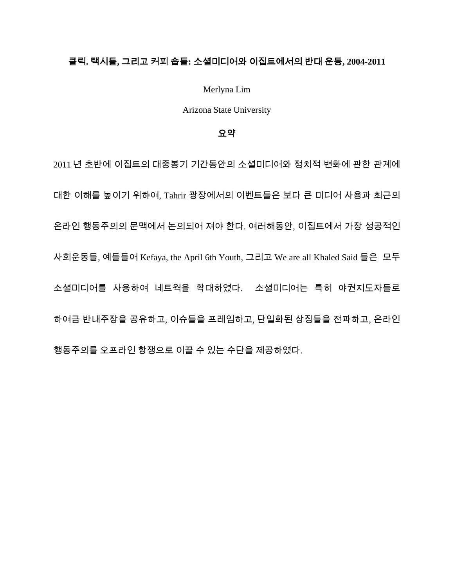## 클릭**.** 택시들**,** 그리고 커피 숍들**:** 소셜미디어와 이집트에서의 반대 운동**, 2004-2011**

Merlyna Lim

Arizona State University

## 요약

2011 년 초반에 이집트의 대중봉기 기간동안의 소셜미디어와 정치적 변화에 관한 관계에 대한 이해를 높이기 위햐여, Tahrir 광장에서의 이벤트들은 보다 큰 미디어 사용과 최근의 온라인 행동주의의 문맥에서 논의되어 져야 한다. 여러해동안, 이집트에서 가장 성공적인 사회운동들, 예들들어 Kefaya, the April 6th Youth, 그리고 We are all Khaled Said 들은 모두 소셜미디어를 사용하여 네트웍을 확대하였다. 소셜미디어는 특히 야권지도자들로 하여금 반내주장을 공유하고, 이슈들을 프레임하고, 단일화된 상징들을 전파하고, 온라인 행동주의를 오프라인 항쟁으로 이끌 수 있는 수단을 제공하였다.